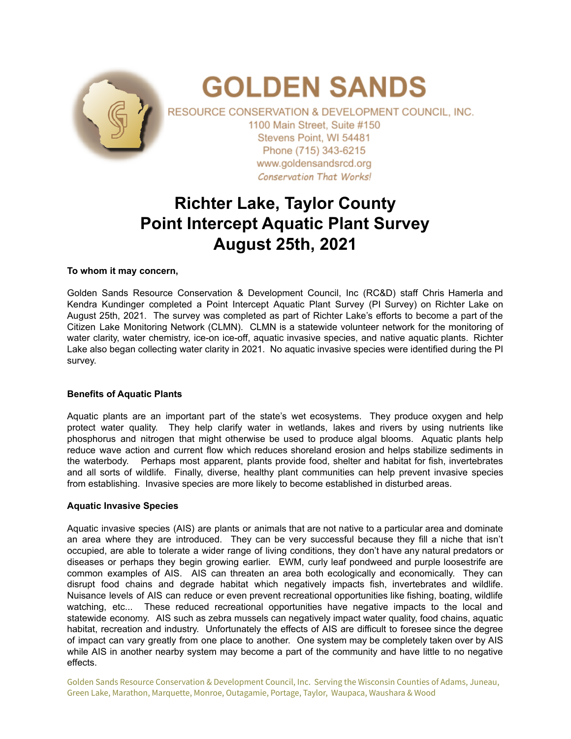

# **Richter Lake, Taylor County Point Intercept Aquatic Plant Survey August 25th, 2021**

### **To whom it may concern,**

Golden Sands Resource Conservation & Development Council, Inc (RC&D) staff Chris Hamerla and Kendra Kundinger completed a Point Intercept Aquatic Plant Survey (PI Survey) on Richter Lake on August 25th, 2021. The survey was completed as part of Richter Lake's efforts to become a part of the Citizen Lake Monitoring Network (CLMN). CLMN is a statewide volunteer network for the monitoring of water clarity, water chemistry, ice-on ice-off, aquatic invasive species, and native aquatic plants. Richter Lake also began collecting water clarity in 2021. No aquatic invasive species were identified during the PI survey.

#### **Benefits of Aquatic Plants**

Aquatic plants are an important part of the state's wet ecosystems. They produce oxygen and help protect water quality. They help clarify water in wetlands, lakes and rivers by using nutrients like phosphorus and nitrogen that might otherwise be used to produce algal blooms. Aquatic plants help reduce wave action and current flow which reduces shoreland erosion and helps stabilize sediments in the waterbody. Perhaps most apparent, plants provide food, shelter and habitat for fish, invertebrates and all sorts of wildlife. Finally, diverse, healthy plant communities can help prevent invasive species from establishing. Invasive species are more likely to become established in disturbed areas.

#### **Aquatic Invasive Species**

Aquatic invasive species (AIS) are plants or animals that are not native to a particular area and dominate an area where they are introduced. They can be very successful because they fill a niche that isn't occupied, are able to tolerate a wider range of living conditions, they don't have any natural predators or diseases or perhaps they begin growing earlier. EWM, curly leaf pondweed and purple loosestrife are common examples of AIS. AIS can threaten an area both ecologically and economically. They can disrupt food chains and degrade habitat which negatively impacts fish, invertebrates and wildlife. Nuisance levels of AIS can reduce or even prevent recreational opportunities like fishing, boating, wildlife watching, etc... These reduced recreational opportunities have negative impacts to the local and statewide economy. AIS such as zebra mussels can negatively impact water quality, food chains, aquatic habitat, recreation and industry. Unfortunately the effects of AIS are difficult to foresee since the degree of impact can vary greatly from one place to another. One system may be completely taken over by AIS while AIS in another nearby system may become a part of the community and have little to no negative effects.

Golden Sands Resource Conservation & Development Council, Inc. Serving the Wisconsin Counties of Adams, Juneau, Green Lake, Marathon, Marquette, Monroe, Outagamie, Portage, Taylor, Waupaca, Waushara & Wood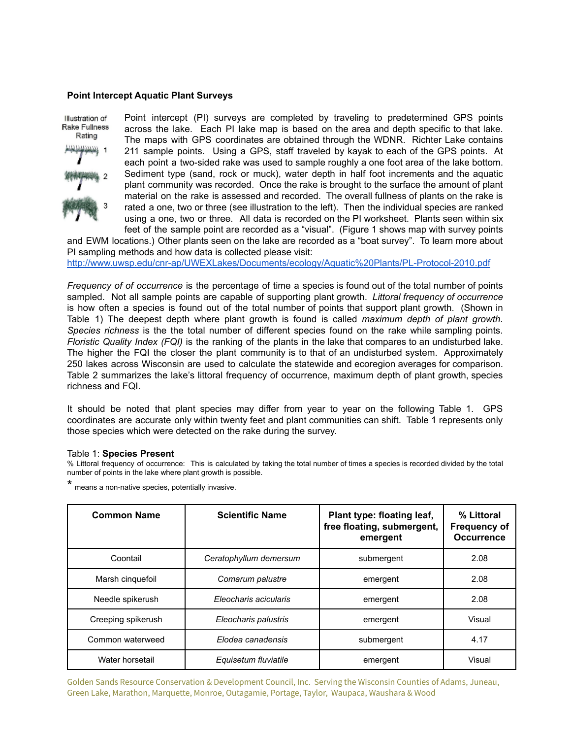#### **Point Intercept Aquatic Plant Surveys**



Point intercept (PI) surveys are completed by traveling to predetermined GPS points across the lake. Each PI lake map is based on the area and depth specific to that lake. The maps with GPS coordinates are obtained through the WDNR. Richter Lake contains 211 sample points. Using a GPS, staff traveled by kayak to each of the GPS points. At each point a two-sided rake was used to sample roughly a one foot area of the lake bottom. Sediment type (sand, rock or muck), water depth in half foot increments and the aquatic plant community was recorded. Once the rake is brought to the surface the amount of plant material on the rake is assessed and recorded. The overall fullness of plants on the rake is rated a one, two or three (see illustration to the left). Then the individual species are ranked using a one, two or three. All data is recorded on the PI worksheet. Plants seen within six feet of the sample point are recorded as a "visual". (Figure 1 shows map with survey points

and EWM locations.) Other plants seen on the lake are recorded as a "boat survey". To learn more about PI sampling methods and how data is collected please visit:

<http://www.uwsp.edu/cnr-ap/UWEXLakes/Documents/ecology/Aquatic%20Plants/PL-Protocol-2010.pdf>

*Frequency of of occurrence* is the percentage of time a species is found out of the total number of points sampled. Not all sample points are capable of supporting plant growth. *Littoral frequency of occurrence* is how often a species is found out of the total number of points that support plant growth. (Shown in Table 1) The deepest depth where plant growth is found is called *maximum depth of plant growth*. *Species richness* is the the total number of different species found on the rake while sampling points. *Floristic Quality Index (FQI)* is the ranking of the plants in the lake that compares to an undisturbed lake. The higher the FQI the closer the plant community is to that of an undisturbed system. Approximately 250 lakes across Wisconsin are used to calculate the statewide and ecoregion averages for comparison. Table 2 summarizes the lake's littoral frequency of occurrence, maximum depth of plant growth, species richness and FQI.

It should be noted that plant species may differ from year to year on the following Table 1. GPS coordinates are accurate only within twenty feet and plant communities can shift. Table 1 represents only those species which were detected on the rake during the survey.

#### Table 1: **Species Present**

% Littoral frequency of occurrence: This is calculated by taking the total number of times a species is recorded divided by the total number of points in the lake where plant growth is possible.

\* means <sup>a</sup> non-native species, potentially invasive.

| <b>Common Name</b> | <b>Scientific Name</b> | Plant type: floating leaf,<br>free floating, submergent,<br>emergent | % Littoral<br><b>Frequency of</b><br><b>Occurrence</b> |
|--------------------|------------------------|----------------------------------------------------------------------|--------------------------------------------------------|
| Coontail           | Ceratophyllum demersum | submergent                                                           | 2.08                                                   |
| Marsh cinquefoil   | Comarum palustre       | emergent                                                             | 2.08                                                   |
| Needle spikerush   | Eleocharis acicularis  | emergent                                                             | 2.08                                                   |
| Creeping spikerush | Eleocharis palustris   | emergent                                                             | Visual                                                 |
| Common waterweed   | Elodea canadensis      | submergent                                                           | 4.17                                                   |
| Water horsetail    | Equisetum fluviatile   | emergent                                                             | Visual                                                 |

Golden Sands Resource Conservation & Development Council, Inc. Serving the Wisconsin Counties of Adams, Juneau, Green Lake, Marathon, Marquette, Monroe, Outagamie, Portage, Taylor, Waupaca, Waushara & Wood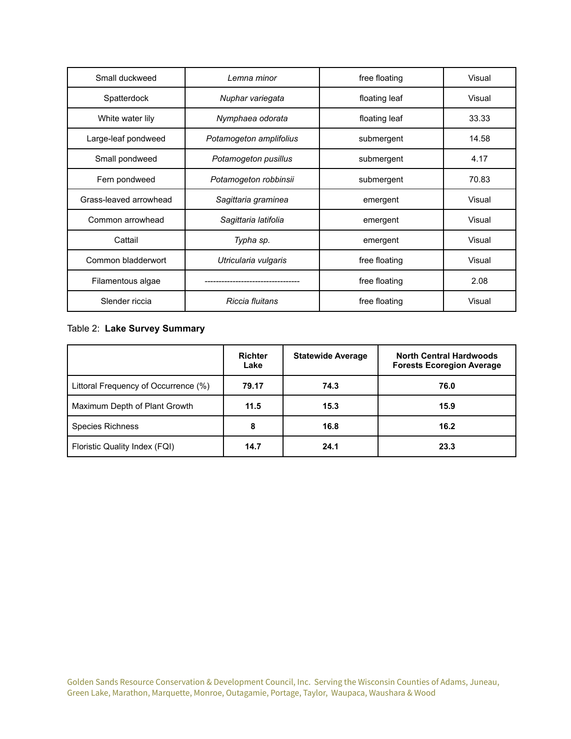| Small duckweed         | Lemna minor             | free floating           | Visual |  |
|------------------------|-------------------------|-------------------------|--------|--|
| Spatterdock            | Nuphar variegata        | floating leaf           | Visual |  |
| White water lily       | Nymphaea odorata        | floating leaf           | 33.33  |  |
| Large-leaf pondweed    | Potamogeton amplifolius | submergent              | 14.58  |  |
| Small pondweed         | Potamogeton pusillus    | submergent              | 4.17   |  |
| Fern pondweed          | Potamogeton robbinsii   | submergent              | 70.83  |  |
| Grass-leaved arrowhead | Sagittaria graminea     | emergent                | Visual |  |
| Common arrowhead       | Sagittaria latifolia    | emergent                |        |  |
| Cattail                | Typha sp.               | emergent                | Visual |  |
| Common bladderwort     | Utricularia vulgaris    | free floating           | Visual |  |
| Filamentous algae      |                         | free floating           | 2.08   |  |
| Slender riccia         | Riccia fluitans         | Visual<br>free floating |        |  |

## Table 2: **Lake Survey Summary**

|                                      | <b>Richter</b><br>Lake | <b>Statewide Average</b> | <b>North Central Hardwoods</b><br><b>Forests Ecoregion Average</b> |
|--------------------------------------|------------------------|--------------------------|--------------------------------------------------------------------|
| Littoral Frequency of Occurrence (%) | 79.17                  | 74.3                     | 76.0                                                               |
| Maximum Depth of Plant Growth        | 11.5                   | 15.3                     | 15.9                                                               |
| <b>Species Richness</b>              | 8                      | 16.8                     | 16.2                                                               |
| Floristic Quality Index (FQI)        | 14.7                   | 24.1                     | 23.3                                                               |